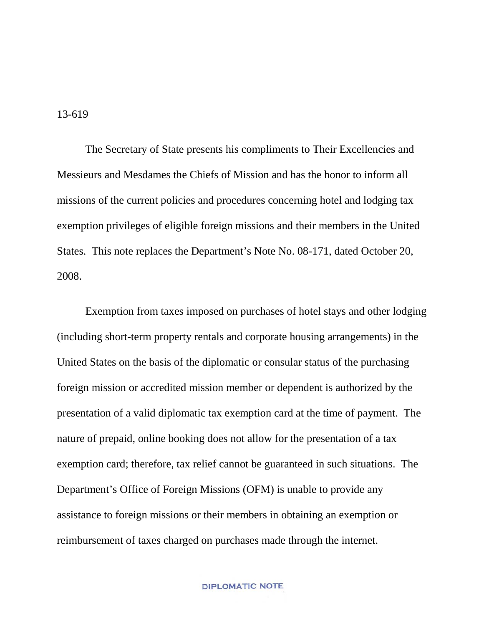13-619

The Secretary of State presents his compliments to Their Excellencies and Messieurs and Mesdames the Chiefs of Mission and has the honor to inform all missions of the current policies and procedures concerning hotel and lodging tax exemption privileges of eligible foreign missions and their members in the United States. This note replaces the Department's Note No. 08-171, dated October 20, 2008.

Exemption from taxes imposed on purchases of hotel stays and other lodging (including short-term property rentals and corporate housing arrangements) in the United States on the basis of the diplomatic or consular status of the purchasing foreign mission or accredited mission member or dependent is authorized by the presentation of a valid diplomatic tax exemption card at the time of payment. The nature of prepaid, online booking does not allow for the presentation of a tax exemption card; therefore, tax relief cannot be guaranteed in such situations. The Department's Office of Foreign Missions (OFM) is unable to provide any assistance to foreign missions or their members in obtaining an exemption or reimbursement of taxes charged on purchases made through the internet.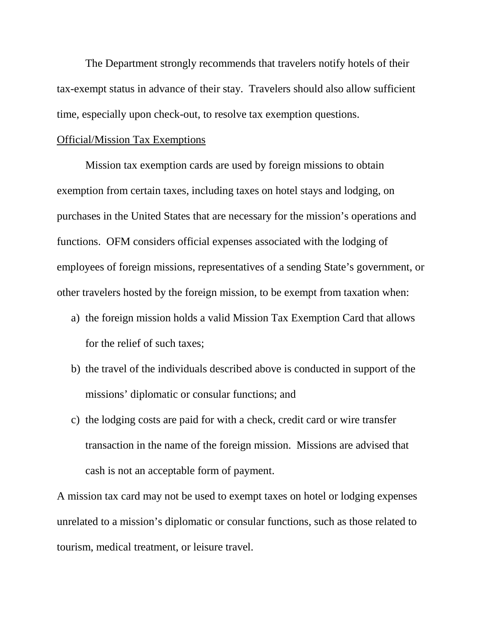The Department strongly recommends that travelers notify hotels of their tax-exempt status in advance of their stay. Travelers should also allow sufficient time, especially upon check-out, to resolve tax exemption questions.

## Official/Mission Tax Exemptions

Mission tax exemption cards are used by foreign missions to obtain exemption from certain taxes, including taxes on hotel stays and lodging, on purchases in the United States that are necessary for the mission's operations and functions. OFM considers official expenses associated with the lodging of employees of foreign missions, representatives of a sending State's government, or other travelers hosted by the foreign mission, to be exempt from taxation when:

- a) the foreign mission holds a valid Mission Tax Exemption Card that allows for the relief of such taxes;
- b) the travel of the individuals described above is conducted in support of the missions' diplomatic or consular functions; and
- c) the lodging costs are paid for with a check, credit card or wire transfer transaction in the name of the foreign mission. Missions are advised that cash is not an acceptable form of payment.

A mission tax card may not be used to exempt taxes on hotel or lodging expenses unrelated to a mission's diplomatic or consular functions, such as those related to tourism, medical treatment, or leisure travel.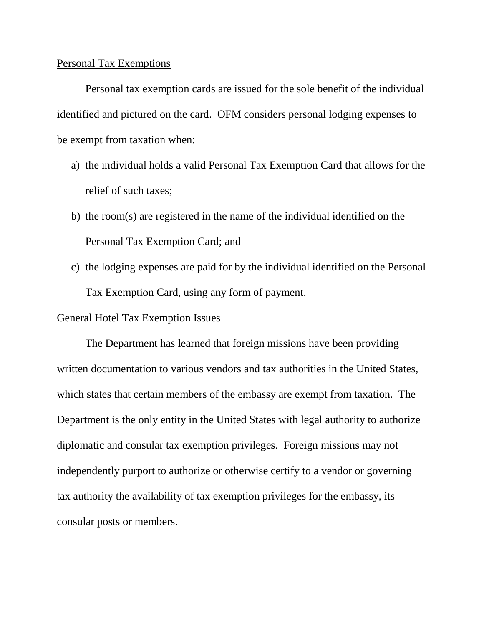## Personal Tax Exemptions

Personal tax exemption cards are issued for the sole benefit of the individual identified and pictured on the card. OFM considers personal lodging expenses to be exempt from taxation when:

- a) the individual holds a valid Personal Tax Exemption Card that allows for the relief of such taxes;
- b) the room(s) are registered in the name of the individual identified on the Personal Tax Exemption Card; and
- c) the lodging expenses are paid for by the individual identified on the Personal Tax Exemption Card, using any form of payment.

## General Hotel Tax Exemption Issues

The Department has learned that foreign missions have been providing written documentation to various vendors and tax authorities in the United States, which states that certain members of the embassy are exempt from taxation. The Department is the only entity in the United States with legal authority to authorize diplomatic and consular tax exemption privileges. Foreign missions may not independently purport to authorize or otherwise certify to a vendor or governing tax authority the availability of tax exemption privileges for the embassy, its consular posts or members.